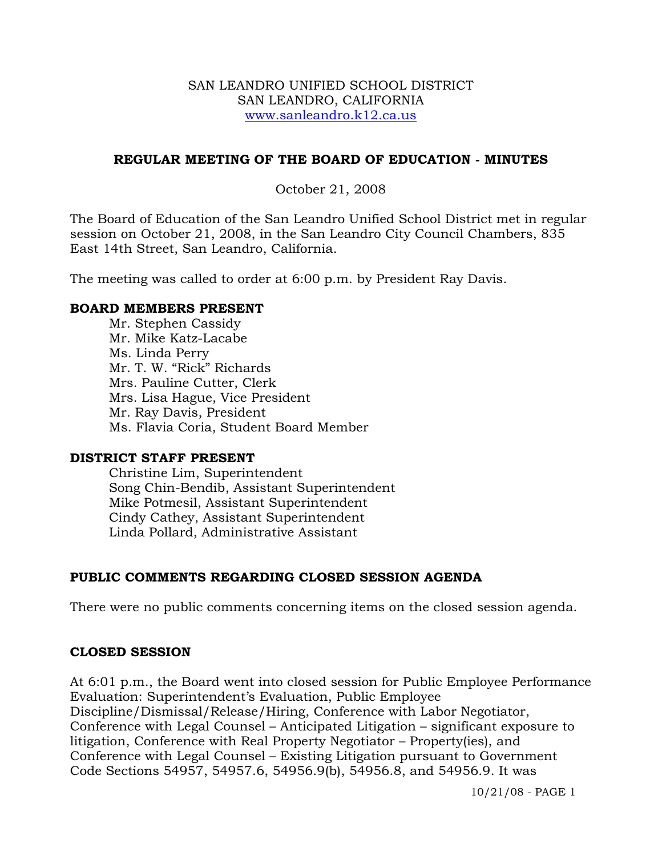### SAN LEANDRO UNIFIED SCHOOL DISTRICT SAN LEANDRO, CALIFORNIA www.sanleandro.k12.ca.us

## **REGULAR MEETING OF THE BOARD OF EDUCATION - MINUTES**

## October 21, 2008

The Board of Education of the San Leandro Unified School District met in regular session on October 21, 2008, in the San Leandro City Council Chambers, 835 East 14th Street, San Leandro, California.

The meeting was called to order at 6:00 p.m. by President Ray Davis.

### **BOARD MEMBERS PRESENT**

Mr. Stephen Cassidy Mr. Mike Katz-Lacabe Ms. Linda Perry Mr. T. W. "Rick" Richards Mrs. Pauline Cutter, Clerk Mrs. Lisa Hague, Vice President Mr. Ray Davis, President Ms. Flavia Coria, Student Board Member

### **DISTRICT STAFF PRESENT**

Christine Lim, Superintendent Song Chin-Bendib, Assistant Superintendent Mike Potmesil, Assistant Superintendent Cindy Cathey, Assistant Superintendent Linda Pollard, Administrative Assistant

## **PUBLIC COMMENTS REGARDING CLOSED SESSION AGENDA**

There were no public comments concerning items on the closed session agenda.

### **CLOSED SESSION**

At 6:01 p.m., the Board went into closed session for Public Employee Performance Evaluation: Superintendent's Evaluation, Public Employee Discipline/Dismissal/Release/Hiring, Conference with Labor Negotiator, Conference with Legal Counsel – Anticipated Litigation – significant exposure to litigation, Conference with Real Property Negotiator – Property(ies), and Conference with Legal Counsel – Existing Litigation pursuant to Government Code Sections 54957, 54957.6, 54956.9(b), 54956.8, and 54956.9. It was

10/21/08 - PAGE 1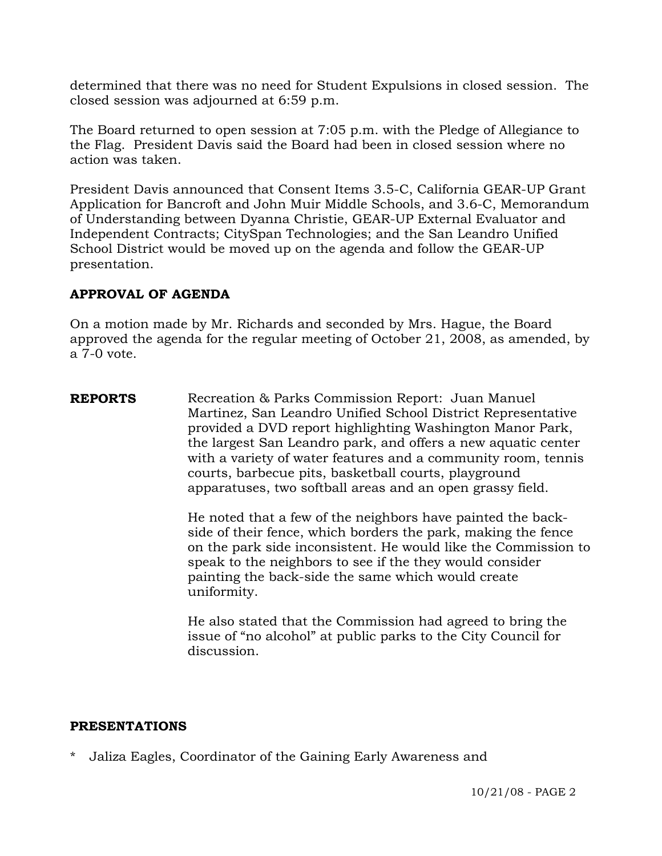determined that there was no need for Student Expulsions in closed session. The closed session was adjourned at 6:59 p.m.

The Board returned to open session at 7:05 p.m. with the Pledge of Allegiance to the Flag. President Davis said the Board had been in closed session where no action was taken.

President Davis announced that Consent Items 3.5-C, California GEAR-UP Grant Application for Bancroft and John Muir Middle Schools, and 3.6-C, Memorandum of Understanding between Dyanna Christie, GEAR-UP External Evaluator and Independent Contracts; CitySpan Technologies; and the San Leandro Unified School District would be moved up on the agenda and follow the GEAR-UP presentation.

## **APPROVAL OF AGENDA**

On a motion made by Mr. Richards and seconded by Mrs. Hague, the Board approved the agenda for the regular meeting of October 21, 2008, as amended, by a 7-0 vote.

**REPORTS** Recreation & Parks Commission Report: Juan Manuel Martinez, San Leandro Unified School District Representative provided a DVD report highlighting Washington Manor Park, the largest San Leandro park, and offers a new aquatic center with a variety of water features and a community room, tennis courts, barbecue pits, basketball courts, playground apparatuses, two softball areas and an open grassy field.

> He noted that a few of the neighbors have painted the backside of their fence, which borders the park, making the fence on the park side inconsistent. He would like the Commission to speak to the neighbors to see if the they would consider painting the back-side the same which would create uniformity.

He also stated that the Commission had agreed to bring the issue of "no alcohol" at public parks to the City Council for discussion.

### **PRESENTATIONS**

\* Jaliza Eagles, Coordinator of the Gaining Early Awareness and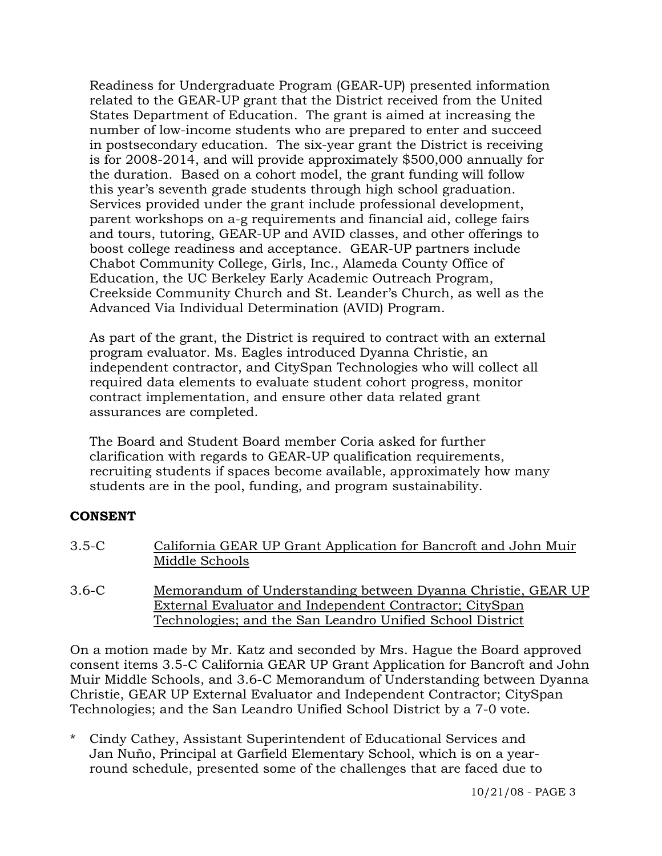Readiness for Undergraduate Program (GEAR-UP) presented information related to the GEAR-UP grant that the District received from the United States Department of Education. The grant is aimed at increasing the number of low-income students who are prepared to enter and succeed in postsecondary education. The six-year grant the District is receiving is for 2008-2014, and will provide approximately \$500,000 annually for the duration. Based on a cohort model, the grant funding will follow this year's seventh grade students through high school graduation. Services provided under the grant include professional development, parent workshops on a-g requirements and financial aid, college fairs and tours, tutoring, GEAR-UP and AVID classes, and other offerings to boost college readiness and acceptance. GEAR-UP partners include Chabot Community College, Girls, Inc., Alameda County Office of Education, the UC Berkeley Early Academic Outreach Program, Creekside Community Church and St. Leander's Church, as well as the Advanced Via Individual Determination (AVID) Program.

As part of the grant, the District is required to contract with an external program evaluator. Ms. Eagles introduced Dyanna Christie, an independent contractor, and CitySpan Technologies who will collect all required data elements to evaluate student cohort progress, monitor contract implementation, and ensure other data related grant assurances are completed.

 The Board and Student Board member Coria asked for further clarification with regards to GEAR-UP qualification requirements, recruiting students if spaces become available, approximately how many students are in the pool, funding, and program sustainability.

## **CONSENT**

- 3.5-C California GEAR UP Grant Application for Bancroft and John Muir Middle Schools
- 3.6-C Memorandum of Understanding between Dyanna Christie, GEAR UP External Evaluator and Independent Contractor; CitySpan Technologies; and the San Leandro Unified School District

On a motion made by Mr. Katz and seconded by Mrs. Hague the Board approved consent items 3.5-C California GEAR UP Grant Application for Bancroft and John Muir Middle Schools, and 3.6-C Memorandum of Understanding between Dyanna Christie, GEAR UP External Evaluator and Independent Contractor; CitySpan Technologies; and the San Leandro Unified School District by a 7-0 vote.

\* Cindy Cathey, Assistant Superintendent of Educational Services and Jan Nuño, Principal at Garfield Elementary School, which is on a yearround schedule, presented some of the challenges that are faced due to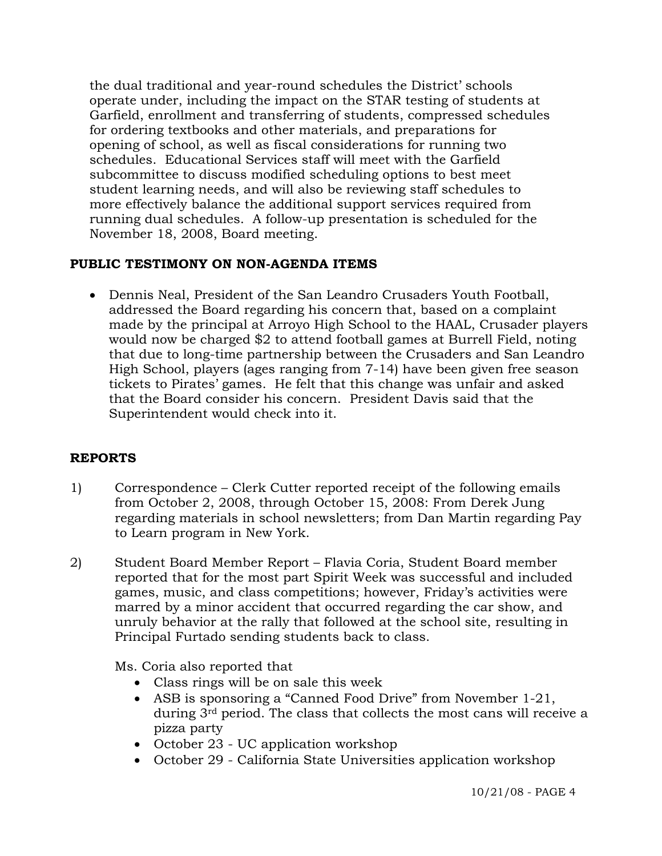the dual traditional and year-round schedules the District' schools operate under, including the impact on the STAR testing of students at Garfield, enrollment and transferring of students, compressed schedules for ordering textbooks and other materials, and preparations for opening of school, as well as fiscal considerations for running two schedules. Educational Services staff will meet with the Garfield subcommittee to discuss modified scheduling options to best meet student learning needs, and will also be reviewing staff schedules to more effectively balance the additional support services required from running dual schedules. A follow-up presentation is scheduled for the November 18, 2008, Board meeting.

# **PUBLIC TESTIMONY ON NON-AGENDA ITEMS**

• Dennis Neal, President of the San Leandro Crusaders Youth Football, addressed the Board regarding his concern that, based on a complaint made by the principal at Arroyo High School to the HAAL, Crusader players would now be charged \$2 to attend football games at Burrell Field, noting that due to long-time partnership between the Crusaders and San Leandro High School, players (ages ranging from 7-14) have been given free season tickets to Pirates' games. He felt that this change was unfair and asked that the Board consider his concern. President Davis said that the Superintendent would check into it.

## **REPORTS**

- 1) Correspondence Clerk Cutter reported receipt of the following emails from October 2, 2008, through October 15, 2008: From Derek Jung regarding materials in school newsletters; from Dan Martin regarding Pay to Learn program in New York.
- 2) Student Board Member Report Flavia Coria, Student Board member reported that for the most part Spirit Week was successful and included games, music, and class competitions; however, Friday's activities were marred by a minor accident that occurred regarding the car show, and unruly behavior at the rally that followed at the school site, resulting in Principal Furtado sending students back to class.

Ms. Coria also reported that

- Class rings will be on sale this week
- ASB is sponsoring a "Canned Food Drive" from November 1-21, during 3rd period. The class that collects the most cans will receive a pizza party
- October 23 UC application workshop
- October 29 California State Universities application workshop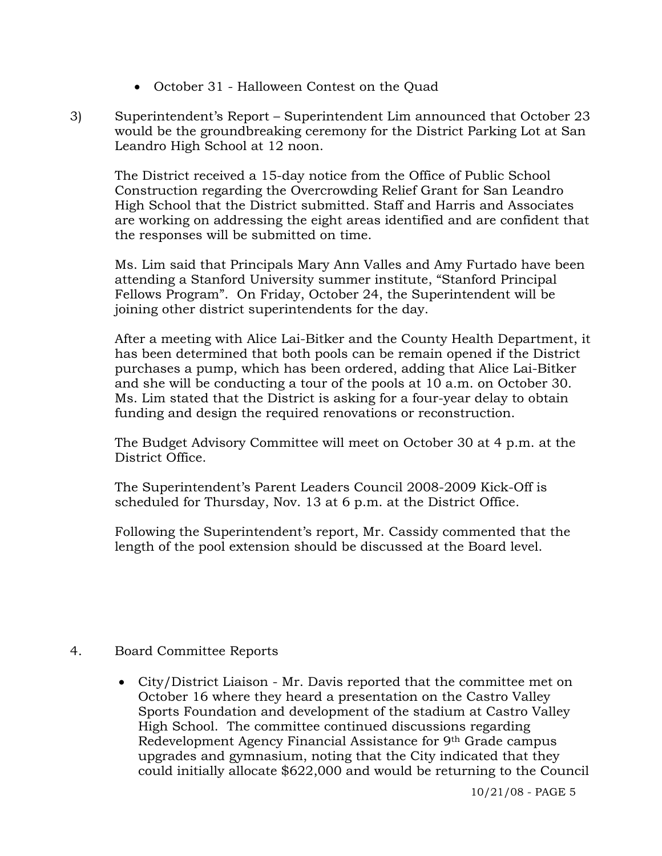- October 31 Halloween Contest on the Quad
- 3) Superintendent's Report Superintendent Lim announced that October 23 would be the groundbreaking ceremony for the District Parking Lot at San Leandro High School at 12 noon.

The District received a 15-day notice from the Office of Public School Construction regarding the Overcrowding Relief Grant for San Leandro High School that the District submitted. Staff and Harris and Associates are working on addressing the eight areas identified and are confident that the responses will be submitted on time.

Ms. Lim said that Principals Mary Ann Valles and Amy Furtado have been attending a Stanford University summer institute, "Stanford Principal Fellows Program". On Friday, October 24, the Superintendent will be joining other district superintendents for the day.

After a meeting with Alice Lai-Bitker and the County Health Department, it has been determined that both pools can be remain opened if the District purchases a pump, which has been ordered, adding that Alice Lai-Bitker and she will be conducting a tour of the pools at 10 a.m. on October 30. Ms. Lim stated that the District is asking for a four-year delay to obtain funding and design the required renovations or reconstruction.

The Budget Advisory Committee will meet on October 30 at 4 p.m. at the District Office.

The Superintendent's Parent Leaders Council 2008-2009 Kick-Off is scheduled for Thursday, Nov. 13 at 6 p.m. at the District Office.

Following the Superintendent's report, Mr. Cassidy commented that the length of the pool extension should be discussed at the Board level.

- 4. Board Committee Reports
	- City/District Liaison Mr. Davis reported that the committee met on October 16 where they heard a presentation on the Castro Valley Sports Foundation and development of the stadium at Castro Valley High School. The committee continued discussions regarding Redevelopment Agency Financial Assistance for 9th Grade campus upgrades and gymnasium, noting that the City indicated that they could initially allocate \$622,000 and would be returning to the Council

10/21/08 - PAGE 5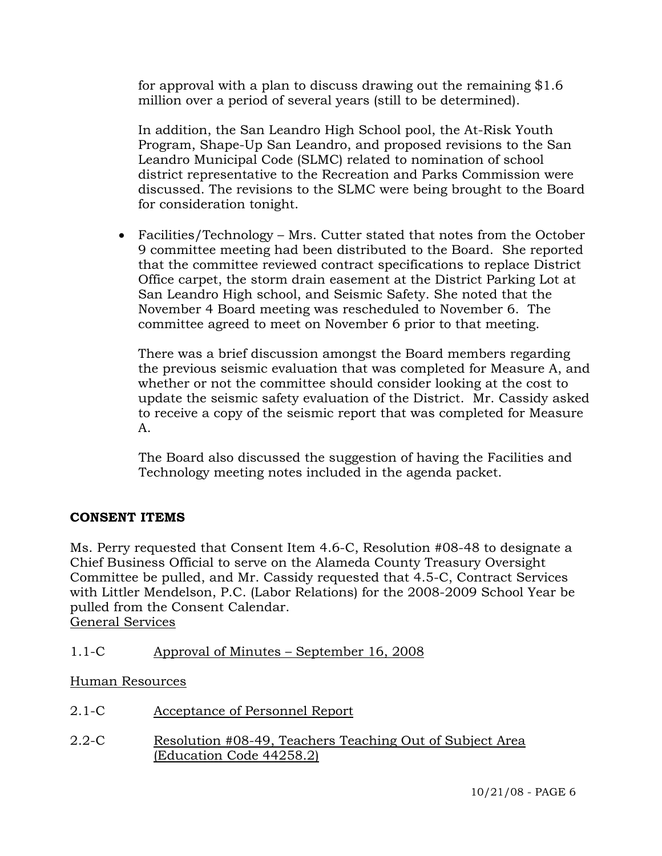for approval with a plan to discuss drawing out the remaining \$1.6 million over a period of several years (still to be determined).

In addition, the San Leandro High School pool, the At-Risk Youth Program, Shape-Up San Leandro, and proposed revisions to the San Leandro Municipal Code (SLMC) related to nomination of school district representative to the Recreation and Parks Commission were discussed. The revisions to the SLMC were being brought to the Board for consideration tonight.

• Facilities/Technology – Mrs. Cutter stated that notes from the October 9 committee meeting had been distributed to the Board. She reported that the committee reviewed contract specifications to replace District Office carpet, the storm drain easement at the District Parking Lot at San Leandro High school, and Seismic Safety. She noted that the November 4 Board meeting was rescheduled to November 6. The committee agreed to meet on November 6 prior to that meeting.

 There was a brief discussion amongst the Board members regarding the previous seismic evaluation that was completed for Measure A, and whether or not the committee should consider looking at the cost to update the seismic safety evaluation of the District. Mr. Cassidy asked to receive a copy of the seismic report that was completed for Measure A.

 The Board also discussed the suggestion of having the Facilities and Technology meeting notes included in the agenda packet.

## **CONSENT ITEMS**

Ms. Perry requested that Consent Item 4.6-C, Resolution #08-48 to designate a Chief Business Official to serve on the Alameda County Treasury Oversight Committee be pulled, and Mr. Cassidy requested that 4.5-C, Contract Services with Littler Mendelson, P.C. (Labor Relations) for the 2008-2009 School Year be pulled from the Consent Calendar. General Services

1.1-C Approval of Minutes – September 16, 2008

Human Resources

- 2.1-C Acceptance of Personnel Report
- 2.2-C Resolution #08-49, Teachers Teaching Out of Subject Area (Education Code 44258.2)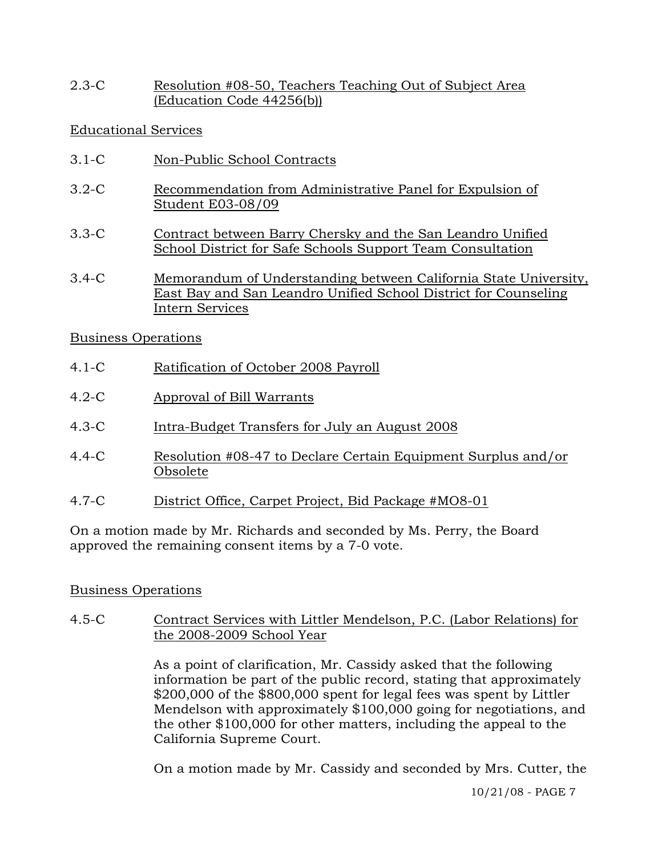2.3-C Resolution #08-50, Teachers Teaching Out of Subject Area (Education Code 44256(b))

Educational Services

- 3.1-C Non-Public School Contracts
- 3.2-C Recommendation from Administrative Panel for Expulsion of Student E03-08/09
- 3.3-C Contract between Barry Chersky and the San Leandro Unified School District for Safe Schools Support Team Consultation
- 3.4-C Memorandum of Understanding between California State University, East Bay and San Leandro Unified School District for Counseling Intern Services

## Business Operations

- 4.1-C Ratification of October 2008 Payroll
- 4.2-C Approval of Bill Warrants
- 4.3-C Intra-Budget Transfers for July an August 2008
- 4.4-C Resolution #08-47 to Declare Certain Equipment Surplus and/or Obsolete
- 4.7-C District Office, Carpet Project, Bid Package #MO8-01

On a motion made by Mr. Richards and seconded by Ms. Perry, the Board approved the remaining consent items by a 7-0 vote.

# Business Operations

4.5-C Contract Services with Littler Mendelson, P.C. (Labor Relations) for the 2008-2009 School Year

> As a point of clarification, Mr. Cassidy asked that the following information be part of the public record, stating that approximately \$200,000 of the \$800,000 spent for legal fees was spent by Littler Mendelson with approximately \$100,000 going for negotiations, and the other \$100,000 for other matters, including the appeal to the California Supreme Court.

> On a motion made by Mr. Cassidy and seconded by Mrs. Cutter, the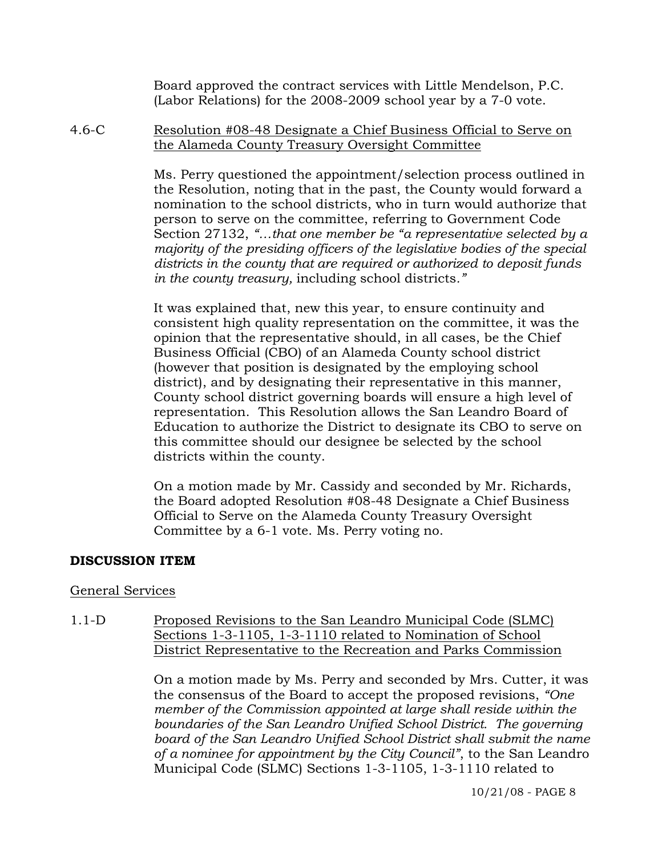Board approved the contract services with Little Mendelson, P.C. (Labor Relations) for the 2008-2009 school year by a 7-0 vote.

4.6-C Resolution #08-48 Designate a Chief Business Official to Serve on the Alameda County Treasury Oversight Committee

> Ms. Perry questioned the appointment/selection process outlined in the Resolution, noting that in the past, the County would forward a nomination to the school districts, who in turn would authorize that person to serve on the committee, referring to Government Code Section 27132, *"…that one member be "a representative selected by a majority of the presiding officers of the legislative bodies of the special districts in the county that are required or authorized to deposit funds in the county treasury,* including school districts*."*

It was explained that, new this year, to ensure continuity and consistent high quality representation on the committee, it was the opinion that the representative should, in all cases, be the Chief Business Official (CBO) of an Alameda County school district (however that position is designated by the employing school district), and by designating their representative in this manner, County school district governing boards will ensure a high level of representation. This Resolution allows the San Leandro Board of Education to authorize the District to designate its CBO to serve on this committee should our designee be selected by the school districts within the county.

On a motion made by Mr. Cassidy and seconded by Mr. Richards, the Board adopted Resolution #08-48 Designate a Chief Business Official to Serve on the Alameda County Treasury Oversight Committee by a 6-1 vote. Ms. Perry voting no.

## **DISCUSSION ITEM**

### General Services

1.1-D Proposed Revisions to the San Leandro Municipal Code (SLMC) Sections 1-3-1105, 1-3-1110 related to Nomination of School District Representative to the Recreation and Parks Commission

> On a motion made by Ms. Perry and seconded by Mrs. Cutter, it was the consensus of the Board to accept the proposed revisions, *"One member of the Commission appointed at large shall reside within the boundaries of the San Leandro Unified School District. The governing board of the San Leandro Unified School District shall submit the name of a nominee for appointment by the City Council"*, to the San Leandro Municipal Code (SLMC) Sections 1-3-1105, 1-3-1110 related to

> > 10/21/08 - PAGE 8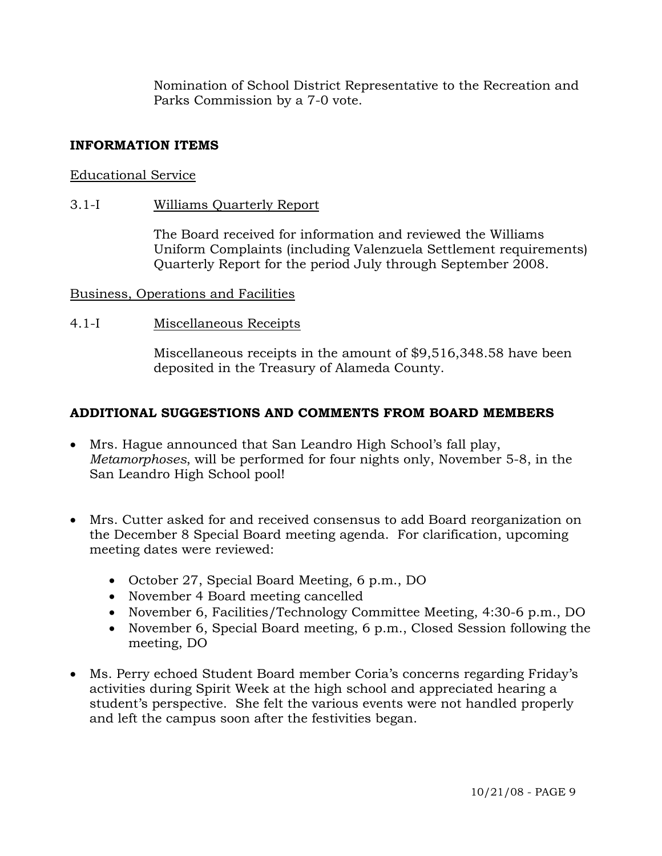Nomination of School District Representative to the Recreation and Parks Commission by a 7-0 vote.

## **INFORMATION ITEMS**

## Educational Service

## 3.1-I Williams Quarterly Report

The Board received for information and reviewed the Williams Uniform Complaints (including Valenzuela Settlement requirements) Quarterly Report for the period July through September 2008.

## Business, Operations and Facilities

## 4.1-I Miscellaneous Receipts

Miscellaneous receipts in the amount of \$9,516,348.58 have been deposited in the Treasury of Alameda County.

## **ADDITIONAL SUGGESTIONS AND COMMENTS FROM BOARD MEMBERS**

- Mrs. Hague announced that San Leandro High School's fall play, *Metamorphoses*, will be performed for four nights only, November 5-8, in the San Leandro High School pool!
- Mrs. Cutter asked for and received consensus to add Board reorganization on the December 8 Special Board meeting agenda. For clarification, upcoming meeting dates were reviewed:
	- October 27, Special Board Meeting, 6 p.m., DO
	- November 4 Board meeting cancelled
	- November 6, Facilities/Technology Committee Meeting, 4:30-6 p.m., DO
	- November 6, Special Board meeting, 6 p.m., Closed Session following the meeting, DO
- Ms. Perry echoed Student Board member Coria's concerns regarding Friday's activities during Spirit Week at the high school and appreciated hearing a student's perspective. She felt the various events were not handled properly and left the campus soon after the festivities began.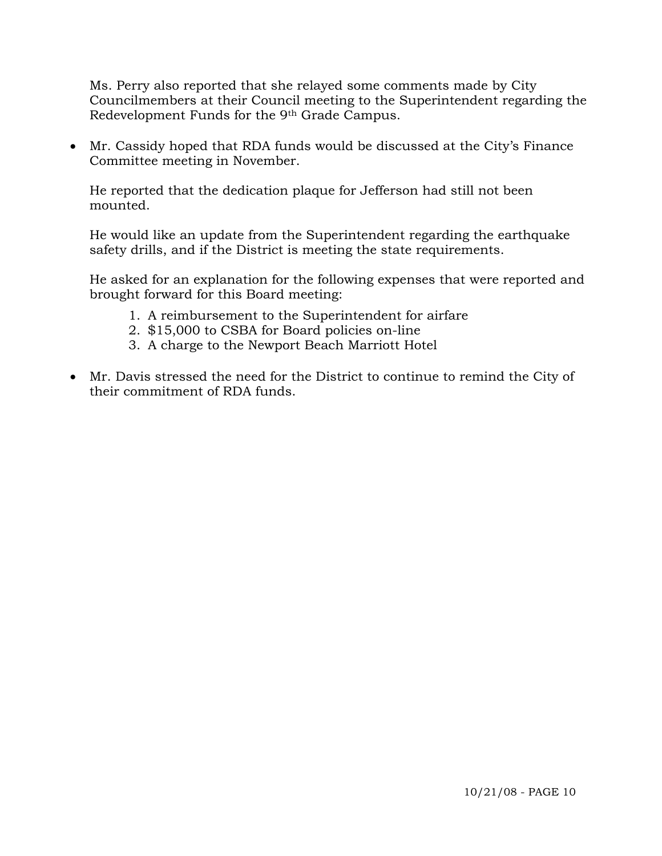Ms. Perry also reported that she relayed some comments made by City Councilmembers at their Council meeting to the Superintendent regarding the Redevelopment Funds for the 9th Grade Campus.

• Mr. Cassidy hoped that RDA funds would be discussed at the City's Finance Committee meeting in November.

He reported that the dedication plaque for Jefferson had still not been mounted.

He would like an update from the Superintendent regarding the earthquake safety drills, and if the District is meeting the state requirements.

He asked for an explanation for the following expenses that were reported and brought forward for this Board meeting:

- 1. A reimbursement to the Superintendent for airfare
- 2. \$15,000 to CSBA for Board policies on-line
- 3. A charge to the Newport Beach Marriott Hotel
- Mr. Davis stressed the need for the District to continue to remind the City of their commitment of RDA funds.